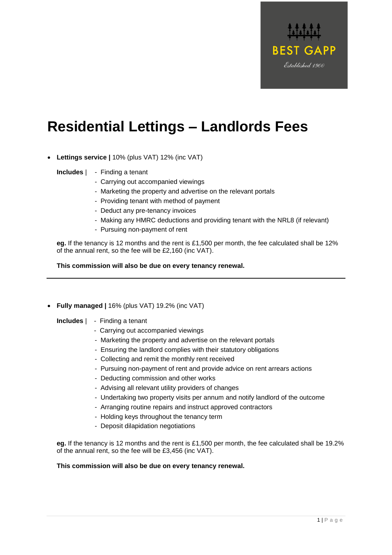

- **Lettings service |** 10% (plus VAT) 12% (inc VAT)
	- **Includes** | Finding a tenant
		- Carrying out accompanied viewings
		- Marketing the property and advertise on the relevant portals
		- Providing tenant with method of payment
		- Deduct any pre-tenancy invoices
		- Making any HMRC deductions and providing tenant with the NRL8 (if relevant)
		- Pursuing non-payment of rent

**eg.** If the tenancy is 12 months and the rent is £1,500 per month, the fee calculated shall be 12% of the annual rent, so the fee will be £2,160 (inc VAT).

**This commission will also be due on every tenancy renewal.**

• **Fully managed |** 16% (plus VAT) 19.2% (inc VAT)

**Includes** | - Finding a tenant

- Carrying out accompanied viewings
- Marketing the property and advertise on the relevant portals
- Ensuring the landlord complies with their statutory obligations
- Collecting and remit the monthly rent received
- Pursuing non-payment of rent and provide advice on rent arrears actions
- Deducting commission and other works
- Advising all relevant utility providers of changes
- Undertaking two property visits per annum and notify landlord of the outcome
- Arranging routine repairs and instruct approved contractors
- Holding keys throughout the tenancy term
- Deposit dilapidation negotiations

**eg.** If the tenancy is 12 months and the rent is £1,500 per month, the fee calculated shall be 19.2% of the annual rent, so the fee will be £3,456 (inc VAT).

## **This commission will also be due on every tenancy renewal.**

**BEST GAPP** 

Established 1900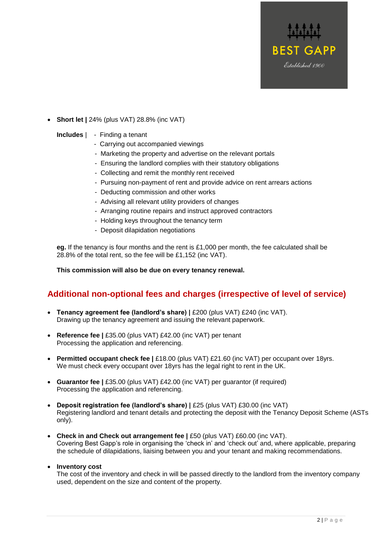

• **Short let |** 24% (plus VAT) 28.8% (inc VAT)

## **Includes** | - Finding a tenant

- Carrying out accompanied viewings
- Marketing the property and advertise on the relevant portals
- Ensuring the landlord complies with their statutory obligations
- Collecting and remit the monthly rent received
- Pursuing non-payment of rent and provide advice on rent arrears actions
- Deducting commission and other works
- Advising all relevant utility providers of changes
- Arranging routine repairs and instruct approved contractors
- Holding keys throughout the tenancy term
- Deposit dilapidation negotiations

**eg.** If the tenancy is four months and the rent is £1,000 per month, the fee calculated shall be 28.8% of the total rent, so the fee will be £1,152 (inc VAT).

**This commission will also be due on every tenancy renewal.**

## **Additional non-optional fees and charges (irrespective of level of service)**

- **Tenancy agreement fee (landlord's share) |** £200 (plus VAT) £240 (inc VAT). Drawing up the tenancy agreement and issuing the relevant paperwork.
- **Reference fee |** £35.00 (plus VAT) £42.00 (inc VAT) per tenant Processing the application and referencing.
- **Permitted occupant check fee |** £18.00 (plus VAT) £21.60 (inc VAT) per occupant over 18yrs. We must check every occupant over 18yrs has the legal right to rent in the UK.
- **Guarantor fee |** £35.00 (plus VAT) £42.00 (inc VAT) per guarantor (if required) Processing the application and referencing.
- **Deposit registration fee (landlord's share) |** £25 (plus VAT) £30.00 (inc VAT) Registering landlord and tenant details and protecting the deposit with the Tenancy Deposit Scheme (ASTs only).
- **Check in and Check out arrangement fee |** £50 (plus VAT) £60.00 (inc VAT). Covering Best Gapp's role in organising the 'check in' and 'check out' and, where applicable, preparing the schedule of dilapidations, liaising between you and your tenant and making recommendations.

## • **Inventory cost**

The cost of the inventory and check in will be passed directly to the landlord from the inventory company used, dependent on the size and content of the property.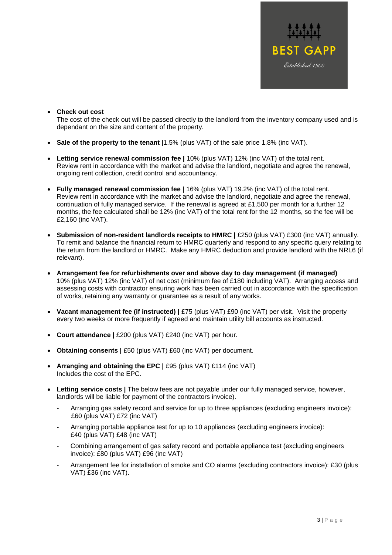

• **Check out cost**

The cost of the check out will be passed directly to the landlord from the inventory company used and is dependant on the size and content of the property.

- **Sale of the property to the tenant |**1.5% (plus VAT) of the sale price 1.8% (inc VAT).
- **Letting service renewal commission fee |** 10% (plus VAT) 12% (inc VAT) of the total rent. Review rent in accordance with the market and advise the landlord, negotiate and agree the renewal, ongoing rent collection, credit control and accountancy.
- **Fully managed renewal commission fee |** 16% (plus VAT) 19.2% (inc VAT) of the total rent. Review rent in accordance with the market and advise the landlord, negotiate and agree the renewal, continuation of fully managed service. If the renewal is agreed at £1,500 per month for a further 12 months, the fee calculated shall be 12% (inc VAT) of the total rent for the 12 months, so the fee will be £2,160 (inc VAT).
- **Submission of non-resident landlords receipts to HMRC |** £250 (plus VAT) £300 (inc VAT) annually. To remit and balance the financial return to HMRC quarterly and respond to any specific query relating to the return from the landlord or HMRC. Make any HMRC deduction and provide landlord with the NRL6 (if relevant).
- **Arrangement fee for refurbishments over and above day to day management (if managed)** 10% (plus VAT) 12% (inc VAT) of net cost (minimum fee of £180 including VAT). Arranging access and assessing costs with contractor ensuring work has been carried out in accordance with the specification of works, retaining any warranty or guarantee as a result of any works.
- **Vacant management fee (if instructed) |** £75 (plus VAT) £90 (inc VAT) per visit. Visit the property every two weeks or more frequently if agreed and maintain utility bill accounts as instructed.
- **Court attendance |** £200 (plus VAT) £240 (inc VAT) per hour.
- **Obtaining consents |** £50 (plus VAT) £60 (inc VAT) per document.
- **Arranging and obtaining the EPC |** £95 (plus VAT) £114 (inc VAT) Includes the cost of the EPC.
- **Letting service costs |** The below fees are not payable under our fully managed service, however, landlords will be liable for payment of the contractors invoice).
	- **-** Arranging gas safety record and service for up to three appliances (excluding engineers invoice): £60 (plus VAT) £72 (inc VAT)
	- Arranging portable appliance test for up to 10 appliances (excluding engineers invoice): £40 (plus VAT) £48 (inc VAT)
	- Combining arrangement of gas safety record and portable appliance test (excluding engineers invoice): £80 (plus VAT) £96 (inc VAT)
	- Arrangement fee for installation of smoke and CO alarms (excluding contractors invoice): £30 (plus VAT) £36 (inc VAT).